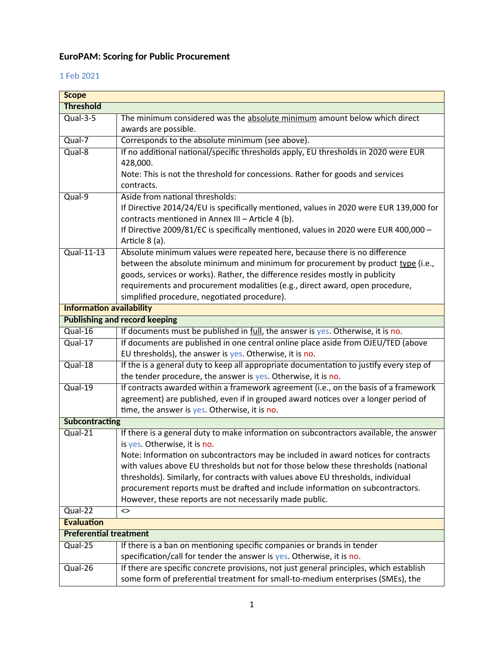## **EuroPAM: Scoring for Public Procurement**

## 1 Feb 2021

| <b>Scope</b>                    |                                                                                         |  |
|---------------------------------|-----------------------------------------------------------------------------------------|--|
| <b>Threshold</b>                |                                                                                         |  |
| $Qual-3-5$                      | The minimum considered was the absolute minimum amount below which direct               |  |
|                                 | awards are possible.                                                                    |  |
| Qual-7                          | Corresponds to the absolute minimum (see above).                                        |  |
| $Qual-8$                        | If no additional national/specific thresholds apply, EU thresholds in 2020 were EUR     |  |
|                                 | 428,000.                                                                                |  |
|                                 | Note: This is not the threshold for concessions. Rather for goods and services          |  |
|                                 | contracts.                                                                              |  |
| $Qual-9$                        | Aside from national thresholds:                                                         |  |
|                                 | If Directive 2014/24/EU is specifically mentioned, values in 2020 were EUR 139,000 for  |  |
|                                 | contracts mentioned in Annex III - Article 4 (b).                                       |  |
|                                 | If Directive 2009/81/EC is specifically mentioned, values in 2020 were EUR 400,000 -    |  |
|                                 | Article 8 (a).                                                                          |  |
| Qual-11-13                      | Absolute minimum values were repeated here, because there is no difference              |  |
|                                 | between the absolute minimum and minimum for procurement by product type (i.e.,         |  |
|                                 | goods, services or works). Rather, the difference resides mostly in publicity           |  |
|                                 | requirements and procurement modalities (e.g., direct award, open procedure,            |  |
|                                 | simplified procedure, negotiated procedure).                                            |  |
| <b>Information availability</b> |                                                                                         |  |
|                                 | <b>Publishing and record keeping</b>                                                    |  |
| $Qual-16$                       | If documents must be published in full, the answer is yes. Otherwise, it is no.         |  |
| $Qual-17$                       | If documents are published in one central online place aside from OJEU/TED (above       |  |
|                                 | EU thresholds), the answer is yes. Otherwise, it is no.                                 |  |
| Qual-18                         | If the is a general duty to keep all appropriate documentation to justify every step of |  |
|                                 | the tender procedure, the answer is yes. Otherwise, it is no.                           |  |
| Qual-19                         | If contracts awarded within a framework agreement (i.e., on the basis of a framework    |  |
|                                 | agreement) are published, even if in grouped award notices over a longer period of      |  |
|                                 | time, the answer is yes. Otherwise, it is no.                                           |  |
| <b>Subcontracting</b>           |                                                                                         |  |
| $Qual-21$                       | If there is a general duty to make information on subcontractors available, the answer  |  |
|                                 | is yes. Otherwise, it is no.                                                            |  |
|                                 | Note: Information on subcontractors may be included in award notices for contracts      |  |
|                                 | with values above EU thresholds but not for those below these thresholds (national      |  |
|                                 | thresholds). Similarly, for contracts with values above EU thresholds, individual       |  |
|                                 | procurement reports must be drafted and include information on subcontractors.          |  |
|                                 | However, these reports are not necessarily made public.                                 |  |
| $Qual-22$                       | $\leftrightarrow$                                                                       |  |
| <b>Evaluation</b>               |                                                                                         |  |
| <b>Preferential treatment</b>   |                                                                                         |  |
| Qual-25                         | If there is a ban on mentioning specific companies or brands in tender                  |  |
|                                 | specification/call for tender the answer is yes. Otherwise, it is no.                   |  |
| Qual-26                         | If there are specific concrete provisions, not just general principles, which establish |  |
|                                 | some form of preferential treatment for small-to-medium enterprises (SMEs), the         |  |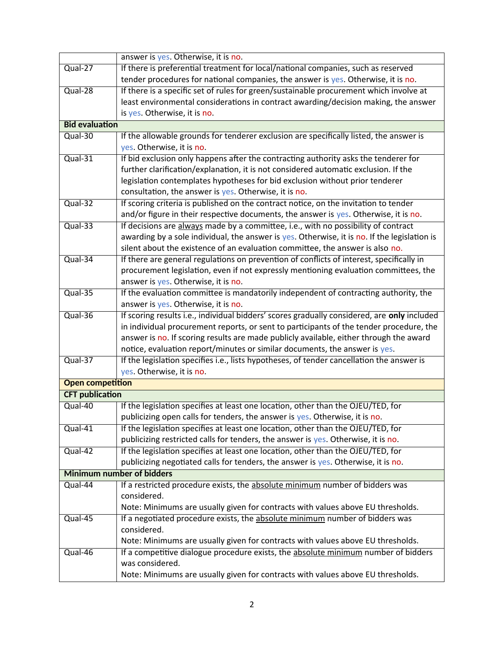|                                  | answer is yes. Otherwise, it is no.                                                          |  |
|----------------------------------|----------------------------------------------------------------------------------------------|--|
| Qual-27                          | If there is preferential treatment for local/national companies, such as reserved            |  |
|                                  | tender procedures for national companies, the answer is yes. Otherwise, it is no.            |  |
| Qual-28                          | If there is a specific set of rules for green/sustainable procurement which involve at       |  |
|                                  | least environmental considerations in contract awarding/decision making, the answer          |  |
|                                  | is yes. Otherwise, it is no.                                                                 |  |
| <b>Bid evaluation</b>            |                                                                                              |  |
| Qual-30                          | If the allowable grounds for tenderer exclusion are specifically listed, the answer is       |  |
|                                  | yes. Otherwise, it is no.                                                                    |  |
| $Qual-31$                        | If bid exclusion only happens after the contracting authority asks the tenderer for          |  |
|                                  | further clarification/explanation, it is not considered automatic exclusion. If the          |  |
|                                  | legislation contemplates hypotheses for bid exclusion without prior tenderer                 |  |
|                                  | consultation, the answer is yes. Otherwise, it is no.                                        |  |
| $Qual-32$                        | If scoring criteria is published on the contract notice, on the invitation to tender         |  |
|                                  | and/or figure in their respective documents, the answer is yes. Otherwise, it is no.         |  |
| $Qual-33$                        | If decisions are always made by a committee, i.e., with no possibility of contract           |  |
|                                  | awarding by a sole individual, the answer is yes. Otherwise, it is no. If the legislation is |  |
|                                  | silent about the existence of an evaluation committee, the answer is also no.                |  |
| Qual-34                          | If there are general regulations on prevention of conflicts of interest, specifically in     |  |
|                                  | procurement legislation, even if not expressly mentioning evaluation committees, the         |  |
|                                  | answer is yes. Otherwise, it is no.                                                          |  |
| Qual-35                          | If the evaluation committee is mandatorily independent of contracting authority, the         |  |
|                                  | answer is yes. Otherwise, it is no.                                                          |  |
| Qual-36                          | If scoring results i.e., individual bidders' scores gradually considered, are only included  |  |
|                                  | in individual procurement reports, or sent to participants of the tender procedure, the      |  |
|                                  | answer is no. If scoring results are made publicly available, either through the award       |  |
|                                  | notice, evaluation report/minutes or similar documents, the answer is yes.                   |  |
| Qual-37                          | If the legislation specifies i.e., lists hypotheses, of tender cancellation the answer is    |  |
|                                  | yes. Otherwise, it is no.                                                                    |  |
| <b>Open competition</b>          |                                                                                              |  |
| <b>CFT publication</b>           |                                                                                              |  |
| Qual-40                          | If the legislation specifies at least one location, other than the OJEU/TED, for             |  |
|                                  | publicizing open calls for tenders, the answer is yes. Otherwise, it is no.                  |  |
| Qual-41                          | If the legislation specifies at least one location, other than the OJEU/TED, for             |  |
|                                  | publicizing restricted calls for tenders, the answer is yes. Otherwise, it is no.            |  |
| Qual-42                          | If the legislation specifies at least one location, other than the OJEU/TED, for             |  |
|                                  | publicizing negotiated calls for tenders, the answer is yes. Otherwise, it is no.            |  |
| <b>Minimum number of bidders</b> |                                                                                              |  |
| Qual-44                          | If a restricted procedure exists, the absolute minimum number of bidders was                 |  |
|                                  | considered.                                                                                  |  |
|                                  | Note: Minimums are usually given for contracts with values above EU thresholds.              |  |
| Qual-45                          | If a negotiated procedure exists, the absolute minimum number of bidders was                 |  |
|                                  | considered.                                                                                  |  |
|                                  | Note: Minimums are usually given for contracts with values above EU thresholds.              |  |
| Qual-46                          | If a competitive dialogue procedure exists, the absolute minimum number of bidders           |  |
|                                  | was considered.                                                                              |  |
|                                  | Note: Minimums are usually given for contracts with values above EU thresholds.              |  |